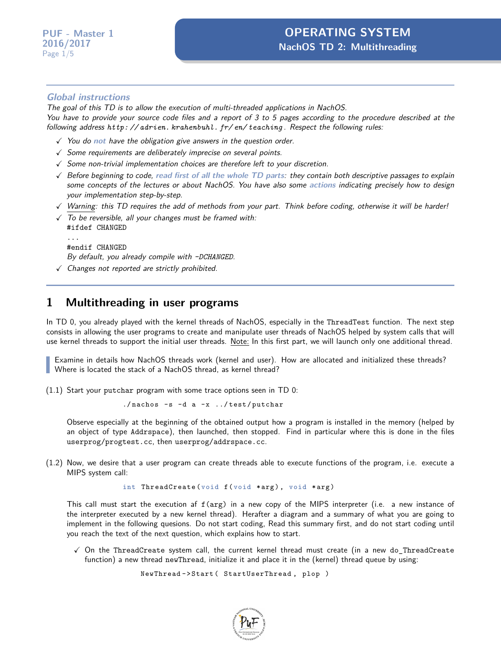#### **Global instructions**

The goal of this TD is to allow the execution of multi-threaded applications in NachOS. You have to provide your source code files and a report of 3 to 5 pages according to the procedure described at the following address *[http: // adrien. krahenbuhl. fr/ en/ teaching](http://adrien.krahenbuhl.fr/en/teaching)* . Respect the following rules:

- X You do **not** have the obligation give answers in the question order.
- $\checkmark$  Some requirements are deliberately imprecise on several points.
- $\checkmark$  Some non-trivial implementation choices are therefore left to your discretion.
- X Before beginning to code, **read first of all the whole TD parts**: they contain both descriptive passages to explain some concepts of the lectures or about NachOS. You have also some **actions** indicating precisely how to design your implementation step-by-step.
- $\sqrt{N}$  Warning: this TD requires the add of methods from your part. Think before coding, otherwise it will be harder!
- $\sqrt{ }$  To be reversible, all your changes must be framed with: #ifdef CHANGED ...
	- #endif CHANGED

By default, you already compile with *-DCHANGED*.

 $\checkmark$  Changes not reported are strictly prohibited.

#### **1 Multithreading in user programs**

In TD 0, you already played with the kernel threads of NachOS, especially in the ThreadTest function. The next step consists in allowing the user programs to create and manipulate user threads of NachOS helped by system calls that will use kernel threads to support the initial user threads. Note: In this first part, we will launch only one additional thread.

Examine in details how NachOS threads work (kernel and user). How are allocated and initialized these threads? Where is located the stack of a NachOS thread, as kernel thread?

(1.1) Start your putchar program with some trace options seen in TD 0:

./ nachos -s -d a -x ../ test / putchar

Observe especially at the beginning of the obtained output how a program is installed in the memory (helped by an object of type Addrspace), then launched, then stopped. Find in particular where this is done in the files userprog/progtest.cc, then userprog/addrspace.cc.

(1.2) Now, we desire that a user program can create threads able to execute functions of the program, i.e. execute a MIPS system call:

int ThreadCreate (void f (void \*arg), void \*arg)

This call must start the execution af f(arg) in a new copy of the MIPS interpreter (i.e. a new instance of the interpreter executed by a new kernel thread). Herafter a diagram and a summary of what you are going to implement in the following quesions. Do not start coding, Read this summary first, and do not start coding until you reach the text of the next question, which explains how to start.

 $\checkmark$  On the ThreadCreate system call, the current kernel thread must create (in a new do\_ThreadCreate function) a new thread newThread, initialize it and place it in the (kernel) thread queue by using:

```
NewThread - > Start ( StartUserThread , plop )
```
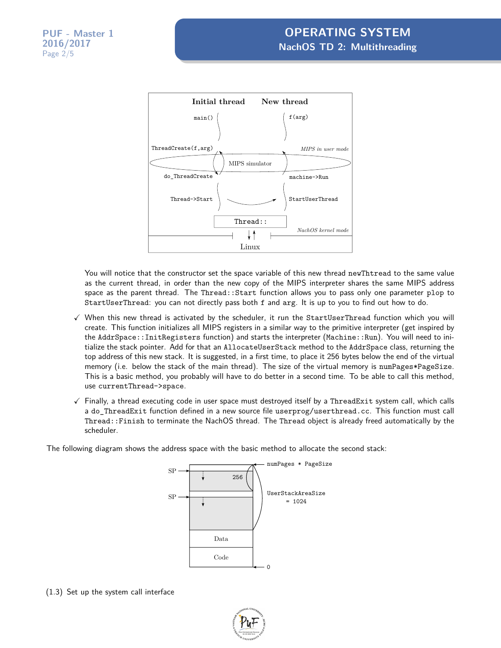

You will notice that the constructor set the space variable of this new thread newThtread to the same value as the current thread, in order than the new copy of the MIPS interpreter shares the same MIPS address space as the parent thread. The Thread::Start function allows you to pass only one parameter plop to StartUserThread: you can not directly pass both f and arg. It is up to you to find out how to do.

- $\checkmark$  When this new thread is activated by the scheduler, it run the StartUserThread function which you will create. This function initializes all MIPS registers in a similar way to the primitive interpreter (get inspired by the AddrSpace::InitRegisters function) and starts the interpreter (Machine::Run). You will need to initialize the stack pointer. Add for that an AllocateUserStack method to the AddrSpace class, returning the top address of this new stack. It is suggested, in a first time, to place it 256 bytes below the end of the virtual memory (i.e. below the stack of the main thread). The size of the virtual memory is numPages\*PageSize. This is a basic method, you probably will have to do better in a second time. To be able to call this method, use currentThread->space.
- $\checkmark$  Finally, a thread executing code in user space must destroyed itself by a ThreadExit system call, which calls a do\_ThreadExit function defined in a new source file userprog/userthread.cc. This function must call Thread::Finish to terminate the NachOS thread. The Thread object is already freed automatically by the scheduler.

The following diagram shows the address space with the basic method to allocate the second stack:



(1.3) Set up the system call interface

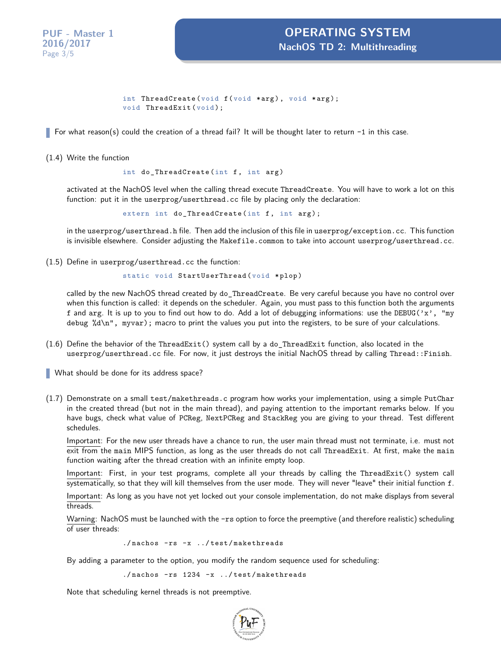**PUF - Master 1 2016/2017** Page 3[/5](#page-4-0)

```
int ThreadCreate (void f (void *arg), void *arg);
void ThreadExit (void);
```
For what reason(s) could the creation of a thread fail? It will be thought later to return -1 in this case.

(1.4) Write the function

int do\_ThreadCreate (int f, int arg)

activated at the NachOS level when the calling thread execute ThreadCreate. You will have to work a lot on this function: put it in the userprog/userthread.cc file by placing only the declaration:

extern int do\_ThreadCreate (int f, int arg);

in the userprog/userthread.h file. Then add the inclusion of this file in userprog/exception.cc. This function is invisible elsewhere. Consider adjusting the Makefile.common to take into account userprog/userthread.cc.

(1.5) Define in userprog/userthread.cc the function:

static void StartUserThread (void \*plop)

called by the new NachOS thread created by do\_ThreadCreate. Be very careful because you have no control over when this function is called: it depends on the scheduler. Again, you must pass to this function both the arguments f and arg. It is up to you to find out how to do. Add a lot of debugging informations: use the DEBUG( $'x'$ , "my debug %d\n", myvar); macro to print the values you put into the registers, to be sure of your calculations.

(1.6) Define the behavior of the ThreadExit() system call by a do\_ThreadExit function, also located in the userprog/userthread.cc file. For now, it just destroys the initial NachOS thread by calling Thread::Finish.

What should be done for its address space?

(1.7) Demonstrate on a small test/makethreads.c program how works your implementation, using a simple PutChar in the created thread (but not in the main thread), and paying attention to the important remarks below. If you have bugs, check what value of PCReg, NextPCReg and StackReg you are giving to your thread. Test different schedules.

Important: For the new user threads have a chance to run, the user main thread must not terminate, i.e. must not exit from the main MIPS function, as long as the user threads do not call ThreadExit. At first, make the main function waiting after the thread creation with an infinite empty loop.

Important: First, in your test programs, complete all your threads by calling the ThreadExit() system call systematically, so that they will kill themselves from the user mode. They will never "leave" their initial function f.

Important: As long as you have not yet locked out your console implementation, do not make displays from several threads.

Warning: NachOS must be launched with the -rs option to force the preemptive (and therefore realistic) scheduling of user threads:

./ nachos - rs -x ../ test / makethreads

By adding a parameter to the option, you modify the random sequence used for scheduling:

./nachos - rs 1234 - x ../test/makethreads

Note that scheduling kernel threads is not preemptive.

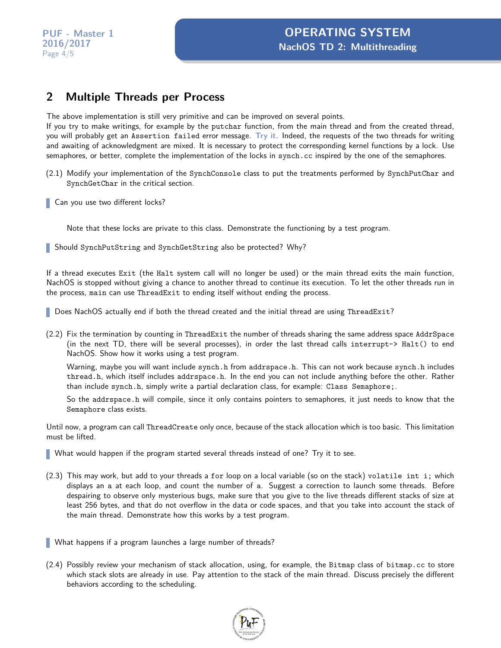### **2 Multiple Threads per Process**

The above implementation is still very primitive and can be improved on several points.

If you try to make writings, for example by the putchar function, from the main thread and from the created thread, you will probably get an Assertion failed error message. **Try it**. Indeed, the requests of the two threads for writing and awaiting of acknowledgment are mixed. It is necessary to protect the corresponding kernel functions by a lock. Use semaphores, or better, complete the implementation of the locks in synch.cc inspired by the one of the semaphores.

- (2.1) Modify your implementation of the SynchConsole class to put the treatments performed by SynchPutChar and SynchGetChar in the critical section.
- Can you use two different locks?

Note that these locks are private to this class. Demonstrate the functioning by a test program.

Should SynchPutString and SynchGetString also be protected? Why?

If a thread executes Exit (the Halt system call will no longer be used) or the main thread exits the main function, NachOS is stopped without giving a chance to another thread to continue its execution. To let the other threads run in the process, main can use ThreadExit to ending itself without ending the process.

Does NachOS actually end if both the thread created and the initial thread are using ThreadExit?

(2.2) Fix the termination by counting in ThreadExit the number of threads sharing the same address space AddrSpace (in the next TD, there will be several processes), in order the last thread calls interrupt-> Halt() to end NachOS. Show how it works using a test program.

Warning, maybe you will want include synch.h from addrspace.h. This can not work because synch.h includes thread.h, which itself includes addrspace.h. In the end you can not include anything before the other. Rather than include synch.h, simply write a partial declaration class, for example: Class Semaphore;.

So the addrspace.h will compile, since it only contains pointers to semaphores, it just needs to know that the Semaphore class exists.

Until now, a program can call ThreadCreate only once, because of the stack allocation which is too basic. This limitation must be lifted.

- What would happen if the program started several threads instead of one? Try it to see.
- (2.3) This may work, but add to your threads a for loop on a local variable (so on the stack) volatile int i; which displays an a at each loop, and count the number of a. Suggest a correction to launch some threads. Before despairing to observe only mysterious bugs, make sure that you give to the live threads different stacks of size at least 256 bytes, and that do not overflow in the data or code spaces, and that you take into account the stack of the main thread. Demonstrate how this works by a test program.

What happens if a program launches a large number of threads?

(2.4) Possibly review your mechanism of stack allocation, using, for example, the Bitmap class of bitmap.cc to store which stack slots are already in use. Pay attention to the stack of the main thread. Discuss precisely the different behaviors according to the scheduling.